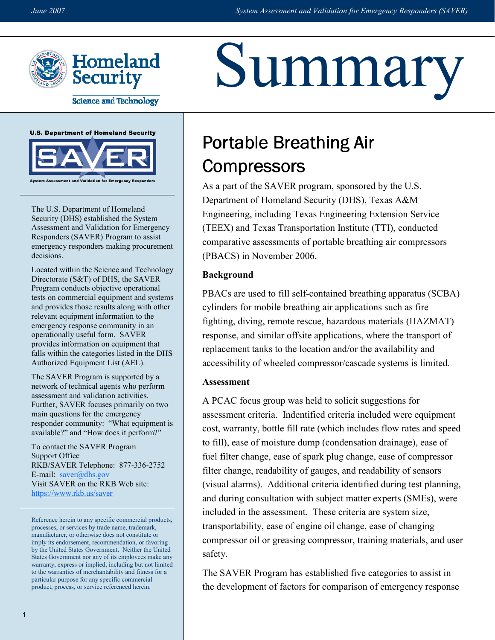Summary



**Science and Technology** 





The U.S. Department of Homeland Security (DHS) established the System Assessment and Validation for Emergency Responders (SAVER) Program to assist emergency responders making procurement decisions.

Located within the Science and Technology Directorate (S&T) of DHS, the SAVER Program conducts objective operational tests on commercial equipment and systems and provides those results along with other relevant equipment information to the emergency response community in an operationally useful form. SAVER provides information on equipment that falls within the categories listed in the DHS Authorized Equipment List (AEL).

The SAVER Program is supported by a network of technical agents who perform assessment and validation activities. Further, SAVER focuses primarily on two main questions for the emergency responder community: "What equipment is available?" and "How does it perform?"

To contact the SAVER Program Support Office RKB/SAVER Telephone: 877-336-2752 E-mail:  $saver@dhs.gov$ Visit SAVER on the RKB Web site: https://www.rkb.us/saver

Reference herein to any specific commercial products, processes, or services by trade name, trademark, manufacturer, or otherwise does not constitute or imply its endorsement, recommendation, or favoring by the United States Government. Neither the United States Government nor any of its employees make any warranty, express or implied, including but not limited to the warranties of merchantability and fitness for a particular purpose for any specific commercial product, process, or service referenced herein.

# Portable Breathing Air **Compressors**

As a part of the SAVER program, sponsored by the U.S. Department of Homeland Security (DHS), Texas A&M Engineering, including Texas Engineering Extension Service (TEEX) and Texas Transportation Institute (TTI), conducted comparative assessments of portable breathing air compressors (PBACS) in November 2006.

## Background

PBACs are used to fill self-contained breathing apparatus (SCBA) cylinders for mobile breathing air applications such as fire fighting, diving, remote rescue, hazardous materials (HAZMAT) response, and similar offsite applications, where the transport of replacement tanks to the location and/or the availability and accessibility of wheeled compressor/cascade systems is limited.

## Assessment

A PCAC focus group was held to solicit suggestions for assessment criteria. Indentified criteria included were equipment cost, warranty, bottle fill rate (which includes flow rates and speed to fill), ease of moisture dump (condensation drainage), ease of fuel filter change, ease of spark plug change, ease of compressor filter change, readability of gauges, and readability of sensors (visual alarms). Additional criteria identified during test planning, and during consultation with subject matter experts (SMEs), were included in the assessment. These criteria are system size, transportability, ease of engine oil change, ease of changing compressor oil or greasing compressor, training materials, and user safety.

The SAVER Program has established five categories to assist in the development of factors for comparison of emergency response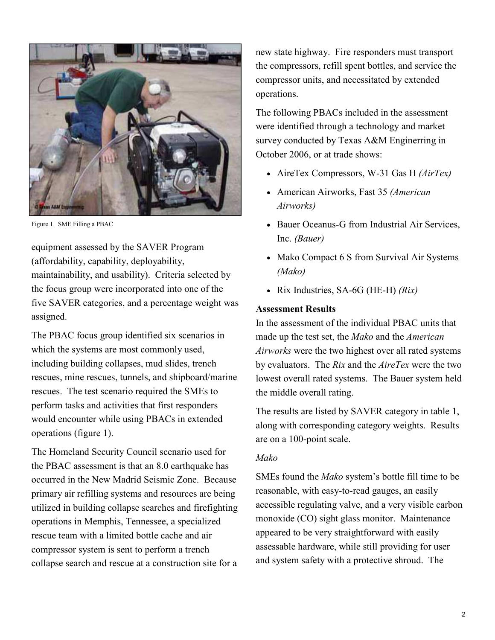

Figure 1. SME Filling a PBAC

equipment assessed by the SAVER Program (affordability, capability, deployability, maintainability, and usability). Criteria selected by the focus group were incorporated into one of the five SAVER categories, and a percentage weight was assigned.

The PBAC focus group identified six scenarios in which the systems are most commonly used, including building collapses, mud slides, trench rescues, mine rescues, tunnels, and shipboard/marine rescues. The test scenario required the SMEs to perform tasks and activities that first responders would encounter while using PBACs in extended operations (figure 1).

The Homeland Security Council scenario used for the PBAC assessment is that an 8.0 earthquake has occurred in the New Madrid Seismic Zone. Because primary air refilling systems and resources are being utilized in building collapse searches and firefighting operations in Memphis, Tennessee, a specialized rescue team with a limited bottle cache and air compressor system is sent to perform a trench collapse search and rescue at a construction site for a

new state highway. Fire responders must transport the compressors, refill spent bottles, and service the compressor units, and necessitated by extended operations.

The following PBACs included in the assessment were identified through a technology and market survey conducted by Texas A&M Enginerring in October 2006, or at trade shows:

- AireTex Compressors, W-31 Gas H (AirTex)
- American Airworks, Fast 35 (American Airworks)
- Bauer Oceanus-G from Industrial Air Services, Inc. (Bauer)
- Mako Compact 6 S from Survival Air Systems (Mako)
- Rix Industries, SA-6G (HE-H)  $(Rix)$

## Assessment Results

In the assessment of the individual PBAC units that made up the test set, the Mako and the American Airworks were the two highest over all rated systems by evaluators. The Rix and the AireTex were the two lowest overall rated systems. The Bauer system held the middle overall rating.

The results are listed by SAVER category in table 1, along with corresponding category weights. Results are on a 100-point scale.

## Mako

SMEs found the Mako system's bottle fill time to be reasonable, with easy-to-read gauges, an easily accessible regulating valve, and a very visible carbon monoxide (CO) sight glass monitor. Maintenance appeared to be very straightforward with easily assessable hardware, while still providing for user and system safety with a protective shroud. The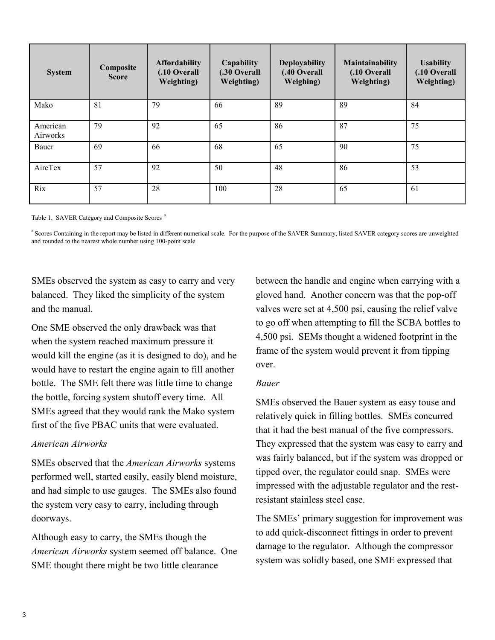| <b>System</b>        | Composite<br><b>Score</b> | <b>Affordability</b><br>(.10 Overall<br><b>Weighting</b> ) | Capability<br><b>.30 Overall</b><br>Weighting) | <b>Deployability</b><br>(.40 Overall<br>Weighing) | Maintainability<br>(.10 Overall<br><b>Weighting</b> ) | <b>Usability</b><br>(.10 Overall<br>Weighting) |
|----------------------|---------------------------|------------------------------------------------------------|------------------------------------------------|---------------------------------------------------|-------------------------------------------------------|------------------------------------------------|
| Mako                 | 81                        | 79                                                         | 66                                             | 89                                                | 89                                                    | 84                                             |
| American<br>Airworks | 79                        | 92                                                         | 65                                             | 86                                                | 87                                                    | 75                                             |
| Bauer                | 69                        | 66                                                         | 68                                             | 65                                                | 90                                                    | 75                                             |
| AireTex              | 57                        | 92                                                         | 50                                             | 48                                                | 86                                                    | 53                                             |
| Rix                  | 57                        | 28                                                         | 100                                            | 28                                                | 65                                                    | 61                                             |

Table 1. SAVER Category and Composite Scores<sup>a</sup>

<sup>a</sup> Scores Containing in the report may be listed in different numerical scale. For the purpose of the SAVER Summary, listed SAVER category scores are unweighted and rounded to the nearest whole number using 100-point scale.

SMEs observed the system as easy to carry and very balanced. They liked the simplicity of the system and the manual.

One SME observed the only drawback was that when the system reached maximum pressure it would kill the engine (as it is designed to do), and he would have to restart the engine again to fill another bottle. The SME felt there was little time to change the bottle, forcing system shutoff every time. All SMEs agreed that they would rank the Mako system first of the five PBAC units that were evaluated.

#### American Airworks

SMEs observed that the American Airworks systems performed well, started easily, easily blend moisture, and had simple to use gauges. The SMEs also found the system very easy to carry, including through doorways.

Although easy to carry, the SMEs though the American Airworks system seemed off balance. One SME thought there might be two little clearance

 to go off when attempting to fill the SCBA bottles to between the handle and engine when carrying with a gloved hand. Another concern was that the pop-off valves were set at 4,500 psi, causing the relief valve 4,500 psi. SEMs thought a widened footprint in the frame of the system would prevent it from tipping over.

#### Bauer

SMEs observed the Bauer system as easy touse and relatively quick in filling bottles. SMEs concurred that it had the best manual of the five compressors. They expressed that the system was easy to carry and was fairly balanced, but if the system was dropped or tipped over, the regulator could snap. SMEs were impressed with the adjustable regulator and the restresistant stainless steel case.

 The SMEs' primary suggestion for improvement was to add quick-disconnect fittings in order to prevent damage to the regulator. Although the compressor system was solidly based, one SME expressed that